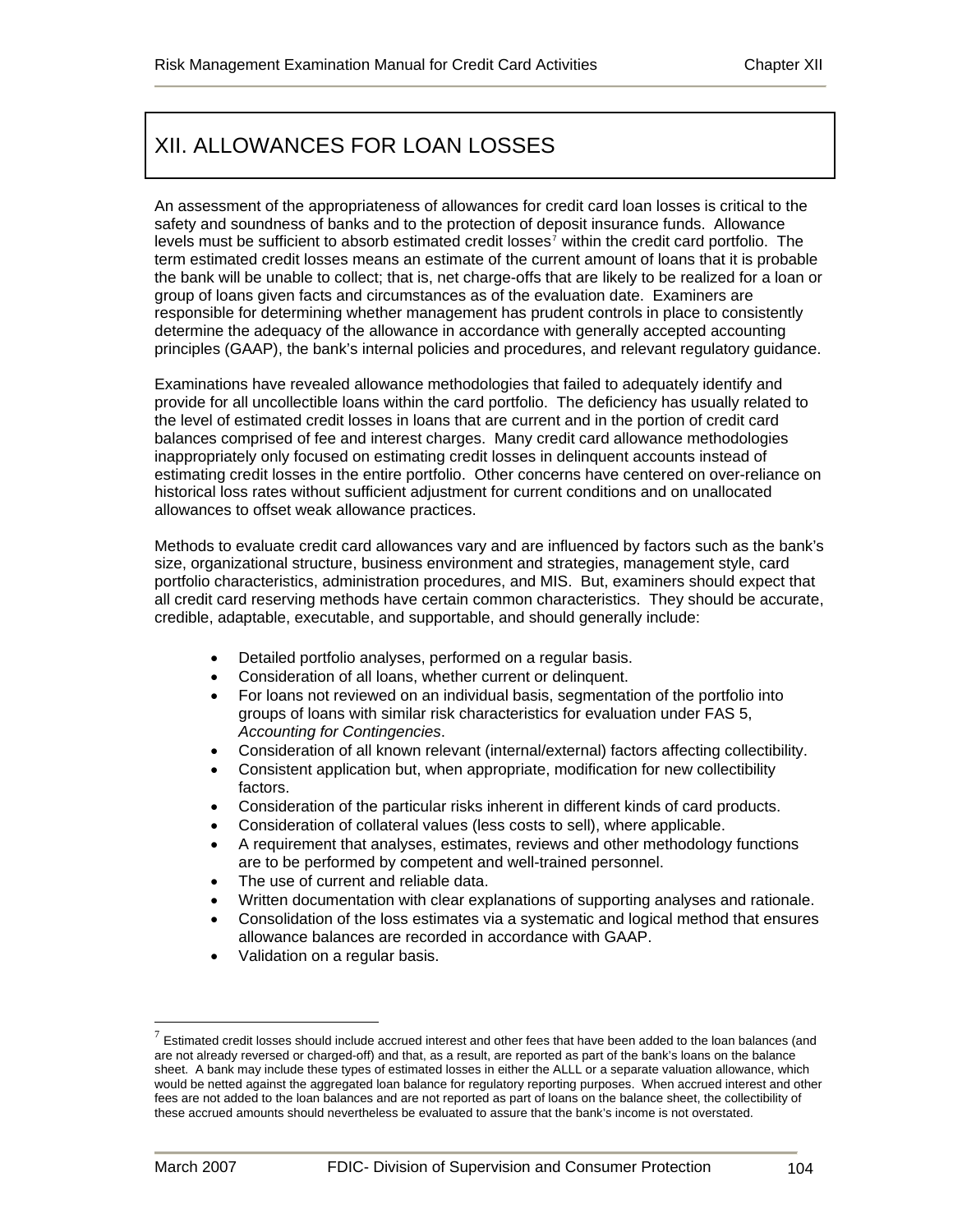# XII. ALLOWANCES FOR LOAN LOSSES

An assessment of the appropriateness of allowances for credit card loan losses is critical to the safety and soundness of banks and to the protection of deposit insurance funds. Allowance levels must be sufficient to absorb estimated credit losses<sup>[7](#page-0-0)</sup> within the credit card portfolio. The term estimated credit losses means an estimate of the current amount of loans that it is probable the bank will be unable to collect; that is, net charge-offs that are likely to be realized for a loan or group of loans given facts and circumstances as of the evaluation date. Examiners are responsible for determining whether management has prudent controls in place to consistently determine the adequacy of the allowance in accordance with generally accepted accounting principles (GAAP), the bank's internal policies and procedures, and relevant regulatory guidance.

Examinations have revealed allowance methodologies that failed to adequately identify and provide for all uncollectible loans within the card portfolio. The deficiency has usually related to the level of estimated credit losses in loans that are current and in the portion of credit card balances comprised of fee and interest charges. Many credit card allowance methodologies inappropriately only focused on estimating credit losses in delinquent accounts instead of estimating credit losses in the entire portfolio. Other concerns have centered on over-reliance on historical loss rates without sufficient adjustment for current conditions and on unallocated allowances to offset weak allowance practices.

Methods to evaluate credit card allowances vary and are influenced by factors such as the bank's size, organizational structure, business environment and strategies, management style, card portfolio characteristics, administration procedures, and MIS. But, examiners should expect that all credit card reserving methods have certain common characteristics. They should be accurate, credible, adaptable, executable, and supportable, and should generally include:

- Detailed portfolio analyses, performed on a regular basis.
- Consideration of all loans, whether current or delinquent.
- For loans not reviewed on an individual basis, segmentation of the portfolio into groups of loans with similar risk characteristics for evaluation under FAS 5, *Accounting for Contingencies*.
- Consideration of all known relevant (internal/external) factors affecting collectibility.
- Consistent application but, when appropriate, modification for new collectibility factors.
- Consideration of the particular risks inherent in different kinds of card products.
- Consideration of collateral values (less costs to sell), where applicable.
- A requirement that analyses, estimates, reviews and other methodology functions are to be performed by competent and well-trained personnel.
- The use of current and reliable data.
- Written documentation with clear explanations of supporting analyses and rationale.
- Consolidation of the loss estimates via a systematic and logical method that ensures allowance balances are recorded in accordance with GAAP.
- Validation on a regular basis.

1

<span id="page-0-0"></span> $<sup>7</sup>$  Estimated credit losses should include accrued interest and other fees that have been added to the loan balances (and</sup> are not already reversed or charged-off) and that, as a result, are reported as part of the bank's loans on the balance sheet. A bank may include these types of estimated losses in either the ALLL or a separate valuation allowance, which would be netted against the aggregated loan balance for regulatory reporting purposes. When accrued interest and other fees are not added to the loan balances and are not reported as part of loans on the balance sheet, the collectibility of these accrued amounts should nevertheless be evaluated to assure that the bank's income is not overstated.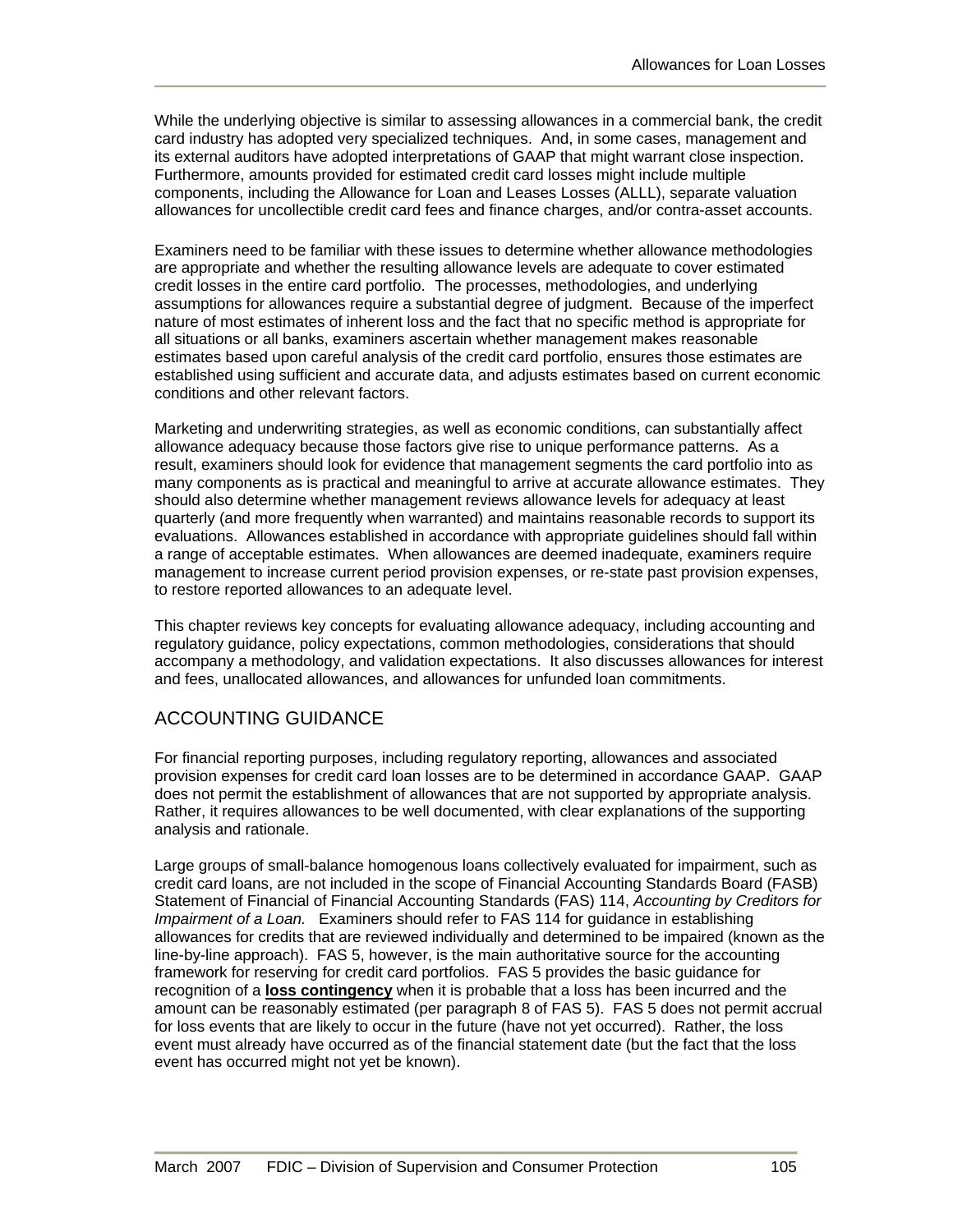While the underlying objective is similar to assessing allowances in a commercial bank, the credit card industry has adopted very specialized techniques. And, in some cases, management and its external auditors have adopted interpretations of GAAP that might warrant close inspection. Furthermore, amounts provided for estimated credit card losses might include multiple components, including the Allowance for Loan and Leases Losses (ALLL), separate valuation allowances for uncollectible credit card fees and finance charges, and/or contra-asset accounts.

Examiners need to be familiar with these issues to determine whether allowance methodologies are appropriate and whether the resulting allowance levels are adequate to cover estimated credit losses in the entire card portfolio. The processes, methodologies, and underlying assumptions for allowances require a substantial degree of judgment. Because of the imperfect nature of most estimates of inherent loss and the fact that no specific method is appropriate for all situations or all banks, examiners ascertain whether management makes reasonable estimates based upon careful analysis of the credit card portfolio, ensures those estimates are established using sufficient and accurate data, and adjusts estimates based on current economic conditions and other relevant factors.

Marketing and underwriting strategies, as well as economic conditions, can substantially affect allowance adequacy because those factors give rise to unique performance patterns. As a result, examiners should look for evidence that management segments the card portfolio into as many components as is practical and meaningful to arrive at accurate allowance estimates. They should also determine whether management reviews allowance levels for adequacy at least quarterly (and more frequently when warranted) and maintains reasonable records to support its evaluations. Allowances established in accordance with appropriate guidelines should fall within a range of acceptable estimates. When allowances are deemed inadequate, examiners require management to increase current period provision expenses, or re-state past provision expenses, to restore reported allowances to an adequate level.

This chapter reviews key concepts for evaluating allowance adequacy, including accounting and regulatory guidance, policy expectations, common methodologies, considerations that should accompany a methodology, and validation expectations. It also discusses allowances for interest and fees, unallocated allowances, and allowances for unfunded loan commitments.

# ACCOUNTING GUIDANCE

For financial reporting purposes, including regulatory reporting, allowances and associated provision expenses for credit card loan losses are to be determined in accordance GAAP. GAAP does not permit the establishment of allowances that are not supported by appropriate analysis. Rather, it requires allowances to be well documented, with clear explanations of the supporting analysis and rationale.

Large groups of small-balance homogenous loans collectively evaluated for impairment, such as credit card loans, are not included in the scope of Financial Accounting Standards Board (FASB) Statement of Financial of Financial Accounting Standards (FAS) 114, *Accounting by Creditors for Impairment of a Loan.* Examiners should refer to FAS 114 for guidance in establishing allowances for credits that are reviewed individually and determined to be impaired (known as the line-by-line approach). FAS 5, however, is the main authoritative source for the accounting framework for reserving for credit card portfolios. FAS 5 provides the basic guidance for recognition of a **loss contingency** when it is probable that a loss has been incurred and the amount can be reasonably estimated (per paragraph 8 of FAS 5). FAS 5 does not permit accrual for loss events that are likely to occur in the future (have not yet occurred). Rather, the loss event must already have occurred as of the financial statement date (but the fact that the loss event has occurred might not yet be known).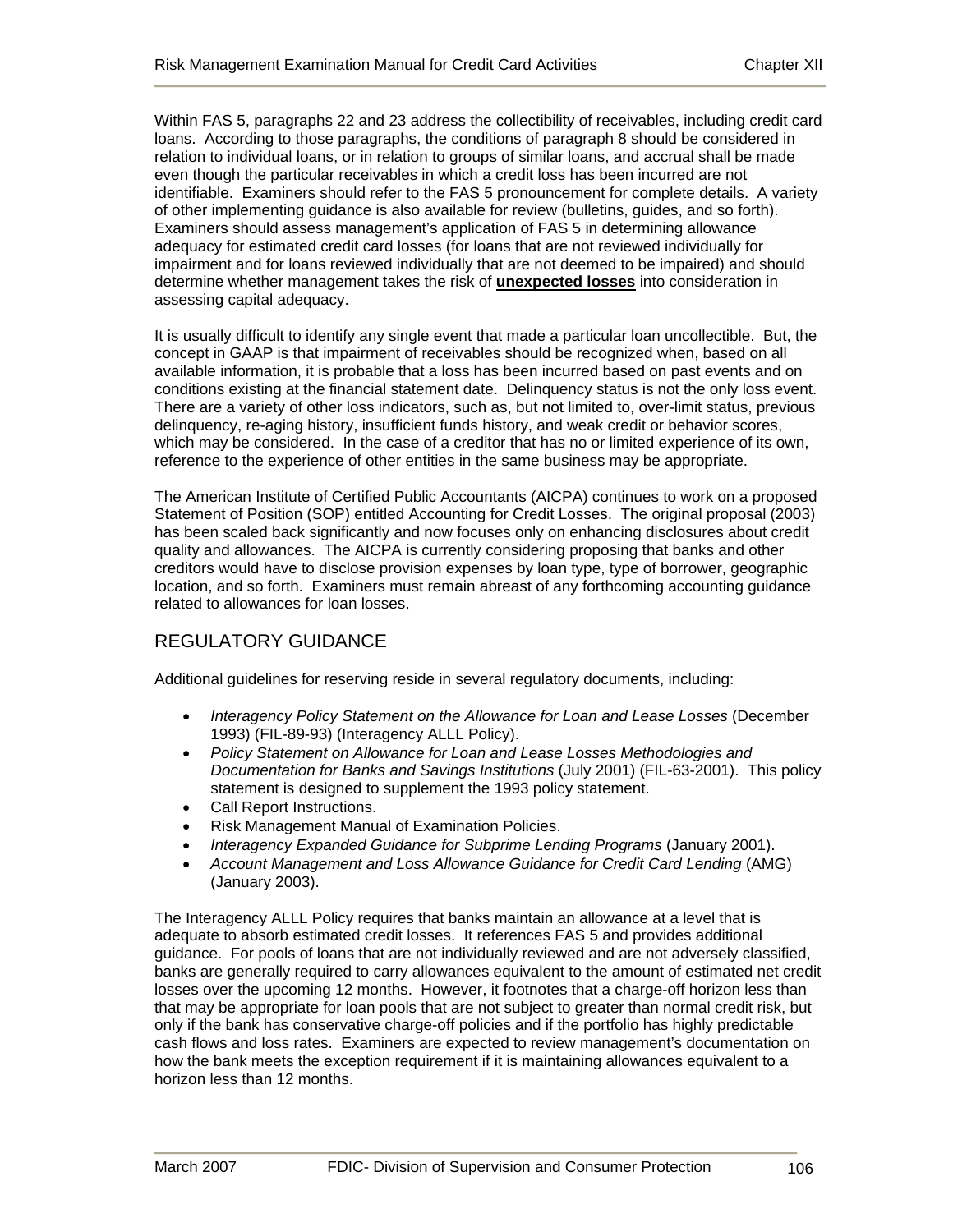Within FAS 5, paragraphs 22 and 23 address the collectibility of receivables, including credit card loans. According to those paragraphs, the conditions of paragraph 8 should be considered in relation to individual loans, or in relation to groups of similar loans, and accrual shall be made even though the particular receivables in which a credit loss has been incurred are not identifiable. Examiners should refer to the FAS 5 pronouncement for complete details. A variety of other implementing guidance is also available for review (bulletins, guides, and so forth). Examiners should assess management's application of FAS 5 in determining allowance adequacy for estimated credit card losses (for loans that are not reviewed individually for impairment and for loans reviewed individually that are not deemed to be impaired) and should determine whether management takes the risk of **unexpected losses** into consideration in assessing capital adequacy.

It is usually difficult to identify any single event that made a particular loan uncollectible. But, the concept in GAAP is that impairment of receivables should be recognized when, based on all available information, it is probable that a loss has been incurred based on past events and on conditions existing at the financial statement date. Delinquency status is not the only loss event. There are a variety of other loss indicators, such as, but not limited to, over-limit status, previous delinquency, re-aging history, insufficient funds history, and weak credit or behavior scores, which may be considered. In the case of a creditor that has no or limited experience of its own, reference to the experience of other entities in the same business may be appropriate.

The American Institute of Certified Public Accountants (AICPA) continues to work on a proposed Statement of Position (SOP) entitled Accounting for Credit Losses. The original proposal (2003) has been scaled back significantly and now focuses only on enhancing disclosures about credit quality and allowances. The AICPA is currently considering proposing that banks and other creditors would have to disclose provision expenses by loan type, type of borrower, geographic location, and so forth. Examiners must remain abreast of any forthcoming accounting guidance related to allowances for loan losses.

# REGULATORY GUIDANCE

Additional guidelines for reserving reside in several regulatory documents, including:

- *Interagency Policy Statement on the Allowance for Loan and Lease Losses* (December 1993) (FIL-89-93) (Interagency ALLL Policy).
- *Policy Statement on Allowance for Loan and Lease Losses Methodologies and Documentation for Banks and Savings Institutions* (July 2001) (FIL-63-2001). This policy statement is designed to supplement the 1993 policy statement.
- Call Report Instructions.
- Risk Management Manual of Examination Policies.
- *Interagency Expanded Guidance for Subprime Lending Programs* (January 2001).
- *Account Management and Loss Allowance Guidance for Credit Card Lending* (AMG) (January 2003).

The Interagency ALLL Policy requires that banks maintain an allowance at a level that is adequate to absorb estimated credit losses. It references FAS 5 and provides additional guidance. For pools of loans that are not individually reviewed and are not adversely classified, banks are generally required to carry allowances equivalent to the amount of estimated net credit losses over the upcoming 12 months. However, it footnotes that a charge-off horizon less than that may be appropriate for loan pools that are not subject to greater than normal credit risk, but only if the bank has conservative charge-off policies and if the portfolio has highly predictable cash flows and loss rates. Examiners are expected to review management's documentation on how the bank meets the exception requirement if it is maintaining allowances equivalent to a horizon less than 12 months.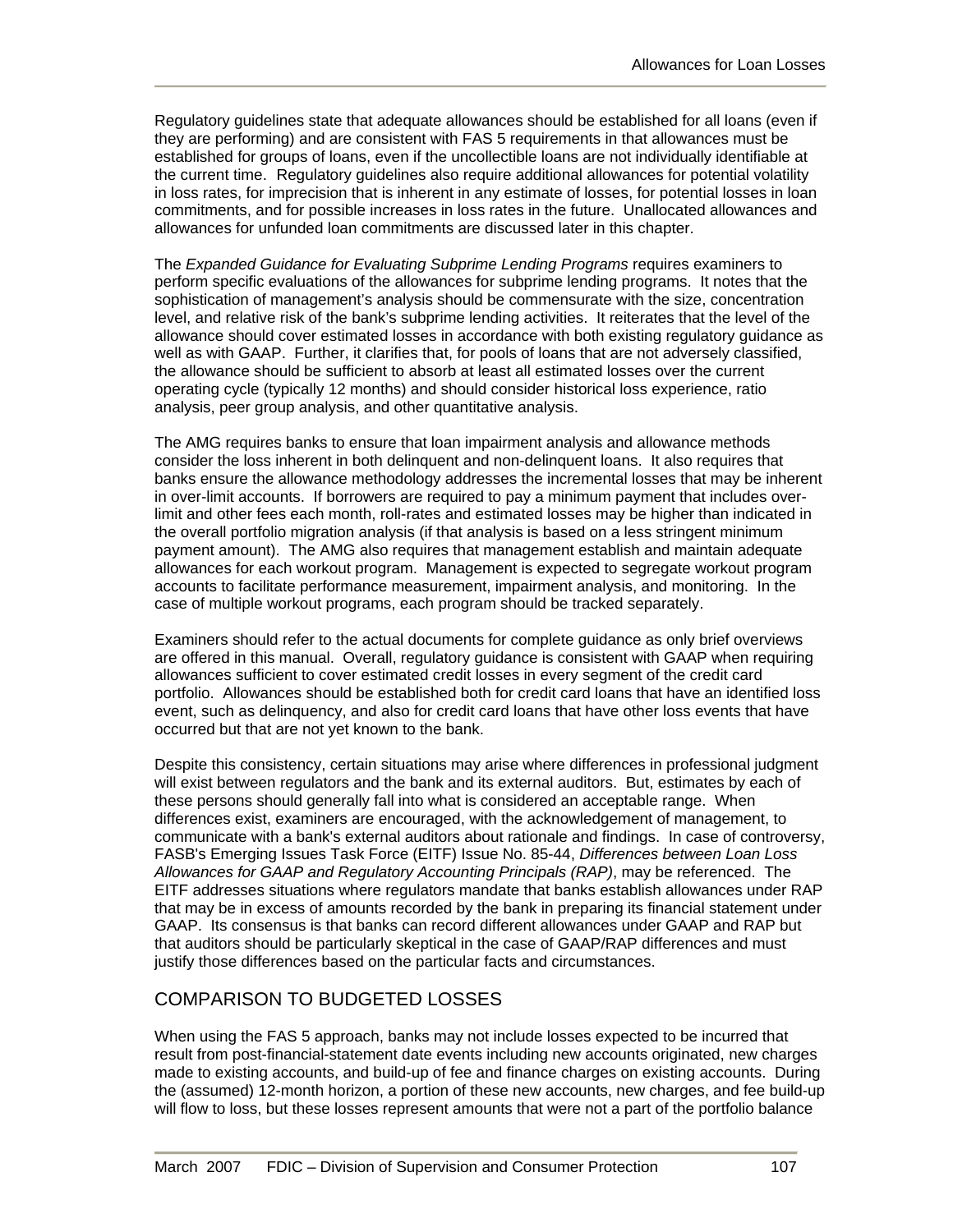Regulatory guidelines state that adequate allowances should be established for all loans (even if they are performing) and are consistent with FAS 5 requirements in that allowances must be established for groups of loans, even if the uncollectible loans are not individually identifiable at the current time. Regulatory guidelines also require additional allowances for potential volatility in loss rates, for imprecision that is inherent in any estimate of losses, for potential losses in loan commitments, and for possible increases in loss rates in the future. Unallocated allowances and allowances for unfunded loan commitments are discussed later in this chapter.

The *Expanded Guidance for Evaluating Subprime Lending Programs* requires examiners to perform specific evaluations of the allowances for subprime lending programs. It notes that the sophistication of management's analysis should be commensurate with the size, concentration level, and relative risk of the bank's subprime lending activities. It reiterates that the level of the allowance should cover estimated losses in accordance with both existing regulatory guidance as well as with GAAP. Further, it clarifies that, for pools of loans that are not adversely classified, the allowance should be sufficient to absorb at least all estimated losses over the current operating cycle (typically 12 months) and should consider historical loss experience, ratio analysis, peer group analysis, and other quantitative analysis.

The AMG requires banks to ensure that loan impairment analysis and allowance methods consider the loss inherent in both delinquent and non-delinquent loans. It also requires that banks ensure the allowance methodology addresses the incremental losses that may be inherent in over-limit accounts. If borrowers are required to pay a minimum payment that includes overlimit and other fees each month, roll-rates and estimated losses may be higher than indicated in the overall portfolio migration analysis (if that analysis is based on a less stringent minimum payment amount). The AMG also requires that management establish and maintain adequate allowances for each workout program. Management is expected to segregate workout program accounts to facilitate performance measurement, impairment analysis, and monitoring. In the case of multiple workout programs, each program should be tracked separately.

Examiners should refer to the actual documents for complete guidance as only brief overviews are offered in this manual. Overall, regulatory guidance is consistent with GAAP when requiring allowances sufficient to cover estimated credit losses in every segment of the credit card portfolio. Allowances should be established both for credit card loans that have an identified loss event, such as delinquency, and also for credit card loans that have other loss events that have occurred but that are not yet known to the bank.

Despite this consistency, certain situations may arise where differences in professional judgment will exist between regulators and the bank and its external auditors. But, estimates by each of these persons should generally fall into what is considered an acceptable range. When differences exist, examiners are encouraged, with the acknowledgement of management, to communicate with a bank's external auditors about rationale and findings. In case of controversy, FASB's Emerging Issues Task Force (EITF) Issue No. 85-44, *Differences between Loan Loss Allowances for GAAP and Regulatory Accounting Principals (RAP)*, may be referenced. The EITF addresses situations where regulators mandate that banks establish allowances under RAP that may be in excess of amounts recorded by the bank in preparing its financial statement under GAAP. Its consensus is that banks can record different allowances under GAAP and RAP but that auditors should be particularly skeptical in the case of GAAP/RAP differences and must justify those differences based on the particular facts and circumstances.

#### COMPARISON TO BUDGETED LOSSES

When using the FAS 5 approach, banks may not include losses expected to be incurred that result from post-financial-statement date events including new accounts originated, new charges made to existing accounts, and build-up of fee and finance charges on existing accounts. During the (assumed) 12-month horizon, a portion of these new accounts, new charges, and fee build-up will flow to loss, but these losses represent amounts that were not a part of the portfolio balance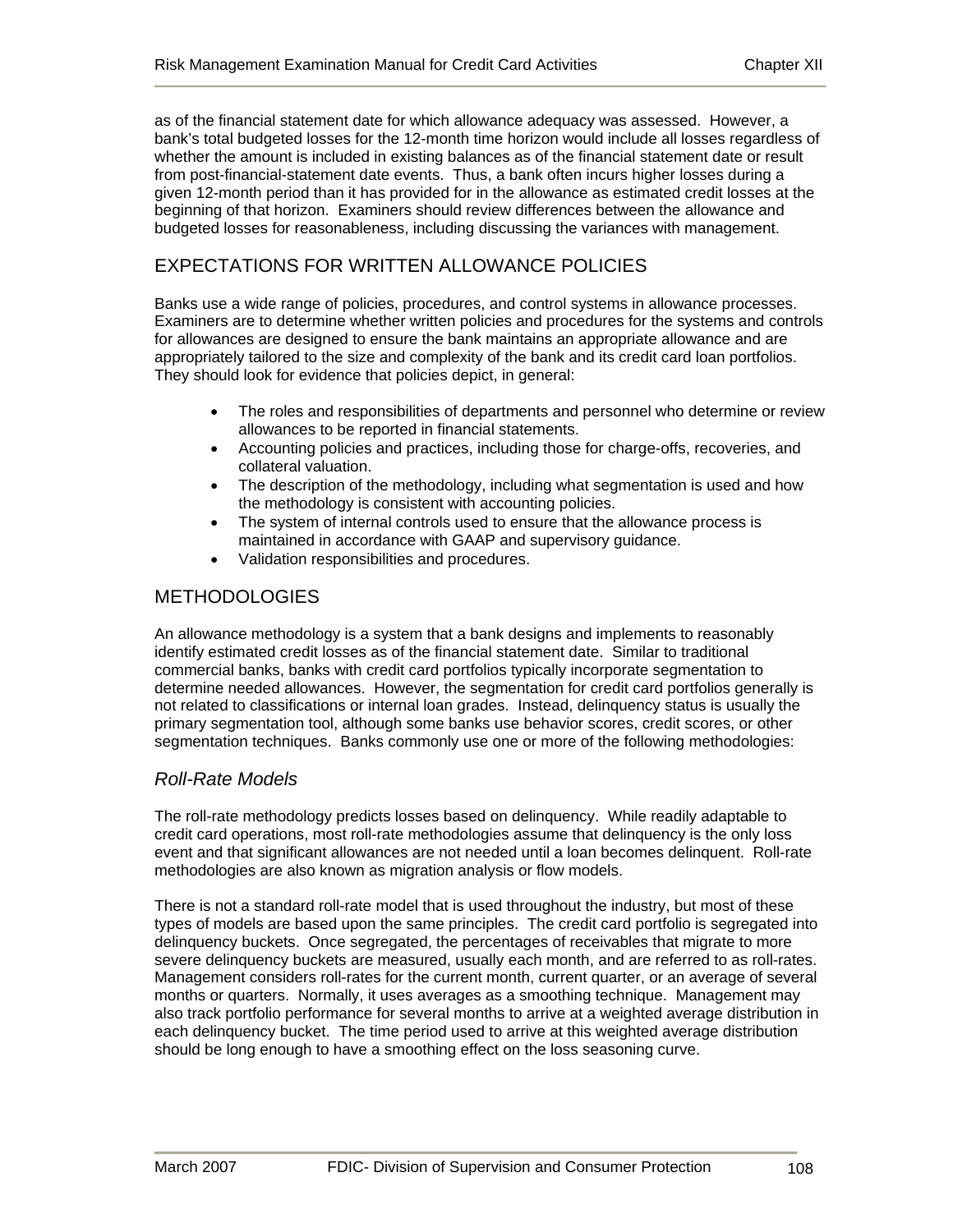as of the financial statement date for which allowance adequacy was assessed. However, a bank's total budgeted losses for the 12-month time horizon would include all losses regardless of whether the amount is included in existing balances as of the financial statement date or result from post-financial-statement date events. Thus, a bank often incurs higher losses during a given 12-month period than it has provided for in the allowance as estimated credit losses at the beginning of that horizon. Examiners should review differences between the allowance and budgeted losses for reasonableness, including discussing the variances with management.

# EXPECTATIONS FOR WRITTEN ALLOWANCE POLICIES

Banks use a wide range of policies, procedures, and control systems in allowance processes. Examiners are to determine whether written policies and procedures for the systems and controls for allowances are designed to ensure the bank maintains an appropriate allowance and are appropriately tailored to the size and complexity of the bank and its credit card loan portfolios. They should look for evidence that policies depict, in general:

- The roles and responsibilities of departments and personnel who determine or review allowances to be reported in financial statements.
- Accounting policies and practices, including those for charge-offs, recoveries, and collateral valuation.
- The description of the methodology, including what segmentation is used and how the methodology is consistent with accounting policies.
- The system of internal controls used to ensure that the allowance process is maintained in accordance with GAAP and supervisory guidance.
- Validation responsibilities and procedures.

# **METHODOLOGIES**

An allowance methodology is a system that a bank designs and implements to reasonably identify estimated credit losses as of the financial statement date. Similar to traditional commercial banks, banks with credit card portfolios typically incorporate segmentation to determine needed allowances. However, the segmentation for credit card portfolios generally is not related to classifications or internal loan grades. Instead, delinquency status is usually the primary segmentation tool, although some banks use behavior scores, credit scores, or other segmentation techniques. Banks commonly use one or more of the following methodologies:

#### *Roll-Rate Models*

The roll-rate methodology predicts losses based on delinquency. While readily adaptable to credit card operations, most roll-rate methodologies assume that delinquency is the only loss event and that significant allowances are not needed until a loan becomes delinquent. Roll-rate methodologies are also known as migration analysis or flow models.

There is not a standard roll-rate model that is used throughout the industry, but most of these types of models are based upon the same principles. The credit card portfolio is segregated into delinquency buckets. Once segregated, the percentages of receivables that migrate to more severe delinquency buckets are measured, usually each month, and are referred to as roll-rates. Management considers roll-rates for the current month, current quarter, or an average of several months or quarters. Normally, it uses averages as a smoothing technique. Management may also track portfolio performance for several months to arrive at a weighted average distribution in each delinquency bucket. The time period used to arrive at this weighted average distribution should be long enough to have a smoothing effect on the loss seasoning curve.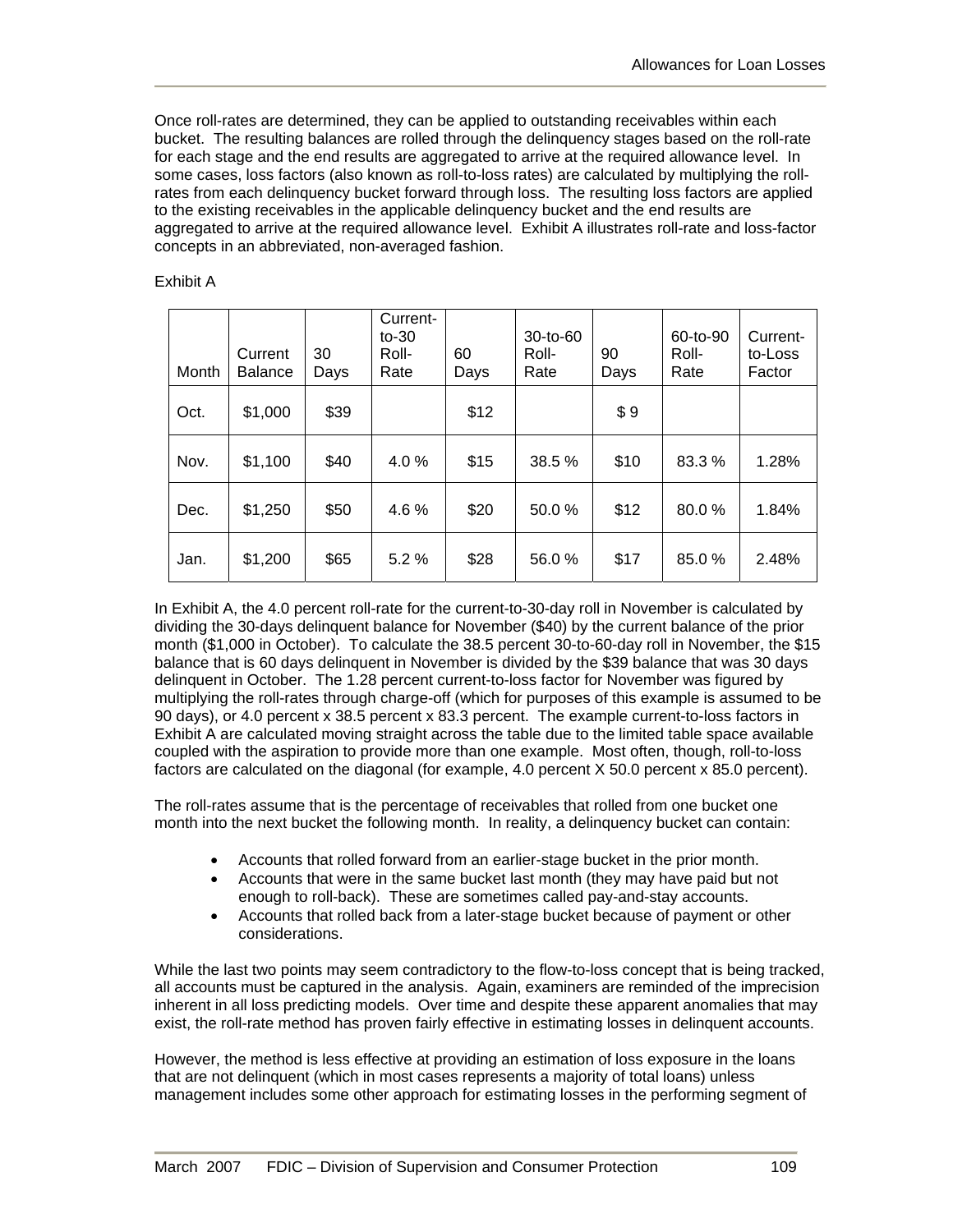Once roll-rates are determined, they can be applied to outstanding receivables within each bucket. The resulting balances are rolled through the delinquency stages based on the roll-rate for each stage and the end results are aggregated to arrive at the required allowance level. In some cases, loss factors (also known as roll-to-loss rates) are calculated by multiplying the rollrates from each delinquency bucket forward through loss. The resulting loss factors are applied to the existing receivables in the applicable delinquency bucket and the end results are aggregated to arrive at the required allowance level. Exhibit A illustrates roll-rate and loss-factor concepts in an abbreviated, non-averaged fashion.

#### Exhibit A

| Month | Current<br><b>Balance</b> | 30<br>Days | Current-<br>$to -30$<br>Roll-<br>Rate | 60<br>Days | $30-to-60$<br>Roll-<br>Rate | 90<br>Days | 60-to-90<br>Roll-<br>Rate | Current-<br>to-Loss<br>Factor |
|-------|---------------------------|------------|---------------------------------------|------------|-----------------------------|------------|---------------------------|-------------------------------|
| Oct.  | \$1,000                   | \$39       |                                       | \$12       |                             | \$9        |                           |                               |
| Nov.  | \$1,100                   | \$40       | 4.0%                                  | \$15       | 38.5 %                      | \$10       | 83.3%                     | 1.28%                         |
| Dec.  | \$1,250                   | \$50       | 4.6%                                  | \$20       | 50.0%                       | \$12       | 80.0%                     | 1.84%                         |
| Jan.  | \$1,200                   | \$65       | 5.2%                                  | \$28       | 56.0%                       | \$17       | 85.0%                     | 2.48%                         |

In Exhibit A, the 4.0 percent roll-rate for the current-to-30-day roll in November is calculated by dividing the 30-days delinquent balance for November (\$40) by the current balance of the prior month (\$1,000 in October). To calculate the 38.5 percent 30-to-60-day roll in November, the \$15 balance that is 60 days delinquent in November is divided by the \$39 balance that was 30 days delinquent in October. The 1.28 percent current-to-loss factor for November was figured by multiplying the roll-rates through charge-off (which for purposes of this example is assumed to be 90 days), or 4.0 percent x 38.5 percent x 83.3 percent. The example current-to-loss factors in Exhibit A are calculated moving straight across the table due to the limited table space available coupled with the aspiration to provide more than one example. Most often, though, roll-to-loss factors are calculated on the diagonal (for example, 4.0 percent X 50.0 percent x 85.0 percent).

The roll-rates assume that is the percentage of receivables that rolled from one bucket one month into the next bucket the following month. In reality, a delinquency bucket can contain:

- Accounts that rolled forward from an earlier-stage bucket in the prior month.
- Accounts that were in the same bucket last month (they may have paid but not enough to roll-back). These are sometimes called pay-and-stay accounts.
- Accounts that rolled back from a later-stage bucket because of payment or other considerations.

While the last two points may seem contradictory to the flow-to-loss concept that is being tracked, all accounts must be captured in the analysis. Again, examiners are reminded of the imprecision inherent in all loss predicting models. Over time and despite these apparent anomalies that may exist, the roll-rate method has proven fairly effective in estimating losses in delinquent accounts.

However, the method is less effective at providing an estimation of loss exposure in the loans that are not delinquent (which in most cases represents a majority of total loans) unless management includes some other approach for estimating losses in the performing segment of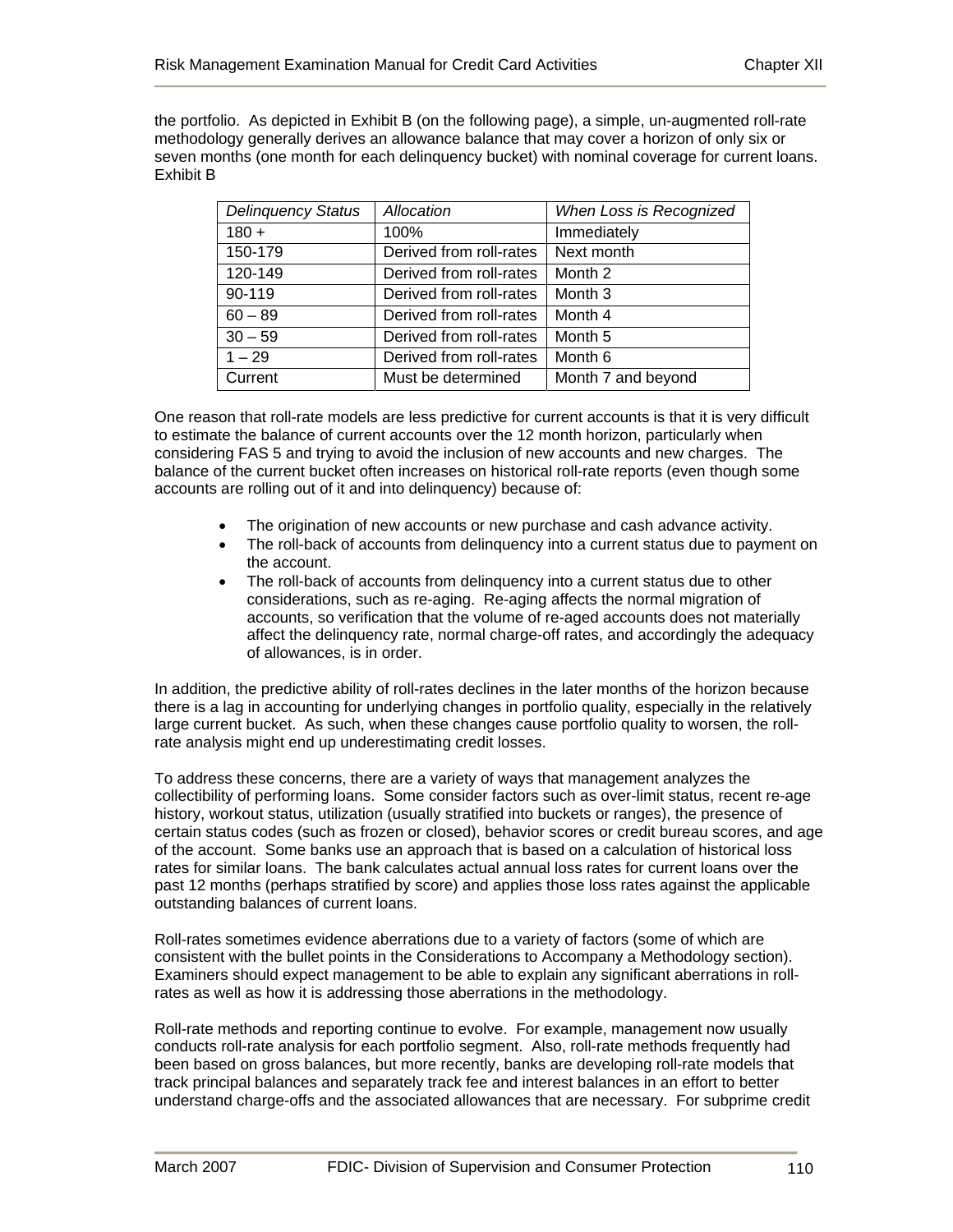the portfolio. As depicted in Exhibit B (on the following page), a simple, un-augmented roll-rate methodology generally derives an allowance balance that may cover a horizon of only six or seven months (one month for each delinquency bucket) with nominal coverage for current loans. Exhibit B

| <b>Delinquency Status</b> | Allocation              | When Loss is Recognized |
|---------------------------|-------------------------|-------------------------|
| $180 +$                   | 100%                    | Immediately             |
| 150-179                   | Derived from roll-rates | Next month              |
| 120-149                   | Derived from roll-rates | Month 2                 |
| 90-119                    | Derived from roll-rates | Month <sub>3</sub>      |
| $60 - 89$                 | Derived from roll-rates | Month 4                 |
| $30 - 59$                 | Derived from roll-rates | Month 5                 |
| $1 - 29$                  | Derived from roll-rates | Month <sub>6</sub>      |
| Current                   | Must be determined      | Month 7 and beyond      |

One reason that roll-rate models are less predictive for current accounts is that it is very difficult to estimate the balance of current accounts over the 12 month horizon, particularly when considering FAS 5 and trying to avoid the inclusion of new accounts and new charges. The balance of the current bucket often increases on historical roll-rate reports (even though some accounts are rolling out of it and into delinquency) because of:

- The origination of new accounts or new purchase and cash advance activity.
- The roll-back of accounts from delinquency into a current status due to payment on the account.
- The roll-back of accounts from delinquency into a current status due to other considerations, such as re-aging. Re-aging affects the normal migration of accounts, so verification that the volume of re-aged accounts does not materially affect the delinquency rate, normal charge-off rates, and accordingly the adequacy of allowances, is in order.

In addition, the predictive ability of roll-rates declines in the later months of the horizon because there is a lag in accounting for underlying changes in portfolio quality, especially in the relatively large current bucket. As such, when these changes cause portfolio quality to worsen, the rollrate analysis might end up underestimating credit losses.

To address these concerns, there are a variety of ways that management analyzes the collectibility of performing loans. Some consider factors such as over-limit status, recent re-age history, workout status, utilization (usually stratified into buckets or ranges), the presence of certain status codes (such as frozen or closed), behavior scores or credit bureau scores, and age of the account. Some banks use an approach that is based on a calculation of historical loss rates for similar loans. The bank calculates actual annual loss rates for current loans over the past 12 months (perhaps stratified by score) and applies those loss rates against the applicable outstanding balances of current loans.

Roll-rates sometimes evidence aberrations due to a variety of factors (some of which are consistent with the bullet points in the Considerations to Accompany a Methodology section). Examiners should expect management to be able to explain any significant aberrations in rollrates as well as how it is addressing those aberrations in the methodology.

Roll-rate methods and reporting continue to evolve. For example, management now usually conducts roll-rate analysis for each portfolio segment. Also, roll-rate methods frequently had been based on gross balances, but more recently, banks are developing roll-rate models that track principal balances and separately track fee and interest balances in an effort to better understand charge-offs and the associated allowances that are necessary. For subprime credit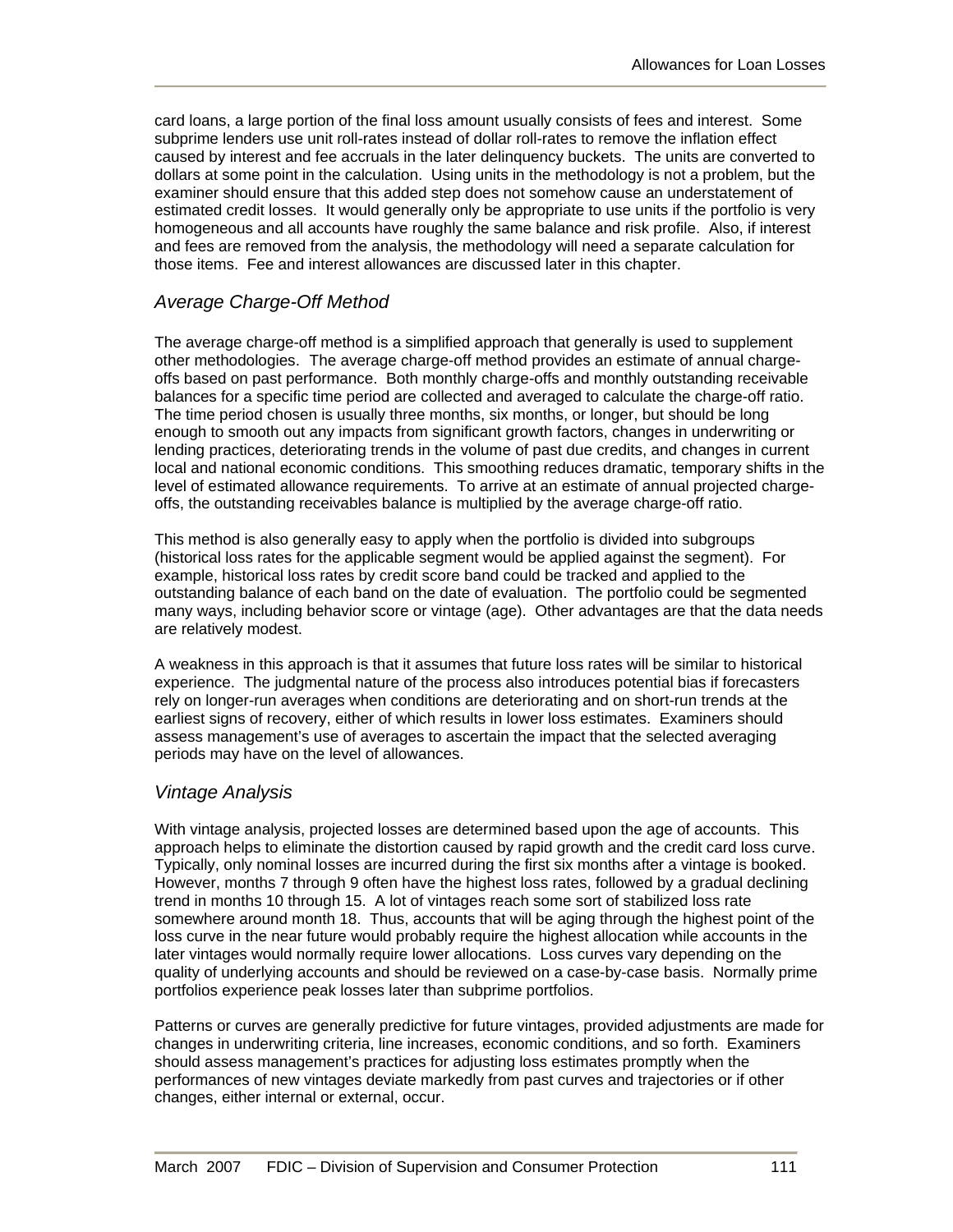card loans, a large portion of the final loss amount usually consists of fees and interest. Some subprime lenders use unit roll-rates instead of dollar roll-rates to remove the inflation effect caused by interest and fee accruals in the later delinquency buckets. The units are converted to dollars at some point in the calculation. Using units in the methodology is not a problem, but the examiner should ensure that this added step does not somehow cause an understatement of estimated credit losses. It would generally only be appropriate to use units if the portfolio is very homogeneous and all accounts have roughly the same balance and risk profile. Also, if interest and fees are removed from the analysis, the methodology will need a separate calculation for those items. Fee and interest allowances are discussed later in this chapter.

# *Average Charge-Off Method*

The average charge-off method is a simplified approach that generally is used to supplement other methodologies. The average charge-off method provides an estimate of annual chargeoffs based on past performance. Both monthly charge-offs and monthly outstanding receivable balances for a specific time period are collected and averaged to calculate the charge-off ratio. The time period chosen is usually three months, six months, or longer, but should be long enough to smooth out any impacts from significant growth factors, changes in underwriting or lending practices, deteriorating trends in the volume of past due credits, and changes in current local and national economic conditions. This smoothing reduces dramatic, temporary shifts in the level of estimated allowance requirements. To arrive at an estimate of annual projected chargeoffs, the outstanding receivables balance is multiplied by the average charge-off ratio.

This method is also generally easy to apply when the portfolio is divided into subgroups (historical loss rates for the applicable segment would be applied against the segment). For example, historical loss rates by credit score band could be tracked and applied to the outstanding balance of each band on the date of evaluation. The portfolio could be segmented many ways, including behavior score or vintage (age). Other advantages are that the data needs are relatively modest.

A weakness in this approach is that it assumes that future loss rates will be similar to historical experience. The judgmental nature of the process also introduces potential bias if forecasters rely on longer-run averages when conditions are deteriorating and on short-run trends at the earliest signs of recovery, either of which results in lower loss estimates. Examiners should assess management's use of averages to ascertain the impact that the selected averaging periods may have on the level of allowances.

# *Vintage Analysis*

With vintage analysis, projected losses are determined based upon the age of accounts. This approach helps to eliminate the distortion caused by rapid growth and the credit card loss curve. Typically, only nominal losses are incurred during the first six months after a vintage is booked. However, months 7 through 9 often have the highest loss rates, followed by a gradual declining trend in months 10 through 15. A lot of vintages reach some sort of stabilized loss rate somewhere around month 18. Thus, accounts that will be aging through the highest point of the loss curve in the near future would probably require the highest allocation while accounts in the later vintages would normally require lower allocations. Loss curves vary depending on the quality of underlying accounts and should be reviewed on a case-by-case basis. Normally prime portfolios experience peak losses later than subprime portfolios.

Patterns or curves are generally predictive for future vintages, provided adjustments are made for changes in underwriting criteria, line increases, economic conditions, and so forth. Examiners should assess management's practices for adjusting loss estimates promptly when the performances of new vintages deviate markedly from past curves and trajectories or if other changes, either internal or external, occur.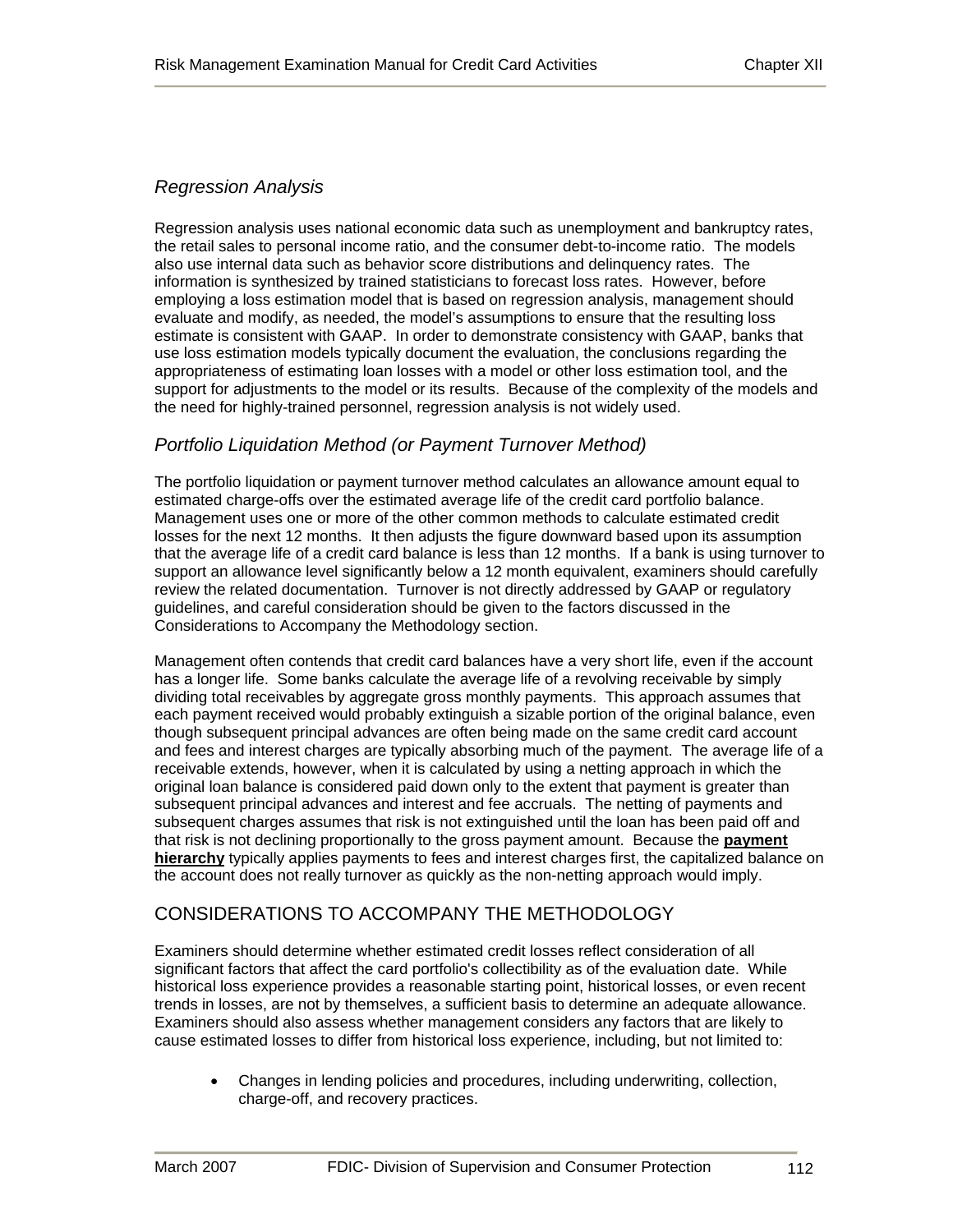#### *Regression Analysis*

Regression analysis uses national economic data such as unemployment and bankruptcy rates, the retail sales to personal income ratio, and the consumer debt-to-income ratio. The models also use internal data such as behavior score distributions and delinquency rates. The information is synthesized by trained statisticians to forecast loss rates. However, before employing a loss estimation model that is based on regression analysis, management should evaluate and modify, as needed, the model's assumptions to ensure that the resulting loss estimate is consistent with GAAP. In order to demonstrate consistency with GAAP, banks that use loss estimation models typically document the evaluation, the conclusions regarding the appropriateness of estimating loan losses with a model or other loss estimation tool, and the support for adjustments to the model or its results. Because of the complexity of the models and the need for highly-trained personnel, regression analysis is not widely used.

#### *Portfolio Liquidation Method (or Payment Turnover Method)*

The portfolio liquidation or payment turnover method calculates an allowance amount equal to estimated charge-offs over the estimated average life of the credit card portfolio balance. Management uses one or more of the other common methods to calculate estimated credit losses for the next 12 months. It then adjusts the figure downward based upon its assumption that the average life of a credit card balance is less than 12 months. If a bank is using turnover to support an allowance level significantly below a 12 month equivalent, examiners should carefully review the related documentation. Turnover is not directly addressed by GAAP or regulatory guidelines, and careful consideration should be given to the factors discussed in the Considerations to Accompany the Methodology section.

Management often contends that credit card balances have a very short life, even if the account has a longer life. Some banks calculate the average life of a revolving receivable by simply dividing total receivables by aggregate gross monthly payments. This approach assumes that each payment received would probably extinguish a sizable portion of the original balance, even though subsequent principal advances are often being made on the same credit card account and fees and interest charges are typically absorbing much of the payment. The average life of a receivable extends, however, when it is calculated by using a netting approach in which the original loan balance is considered paid down only to the extent that payment is greater than subsequent principal advances and interest and fee accruals. The netting of payments and subsequent charges assumes that risk is not extinguished until the loan has been paid off and that risk is not declining proportionally to the gross payment amount. Because the **payment hierarchy** typically applies payments to fees and interest charges first, the capitalized balance on the account does not really turnover as quickly as the non-netting approach would imply.

# CONSIDERATIONS TO ACCOMPANY THE METHODOLOGY

Examiners should determine whether estimated credit losses reflect consideration of all significant factors that affect the card portfolio's collectibility as of the evaluation date. While historical loss experience provides a reasonable starting point, historical losses, or even recent trends in losses, are not by themselves, a sufficient basis to determine an adequate allowance. Examiners should also assess whether management considers any factors that are likely to cause estimated losses to differ from historical loss experience, including, but not limited to:

• Changes in lending policies and procedures, including underwriting, collection, charge-off, and recovery practices.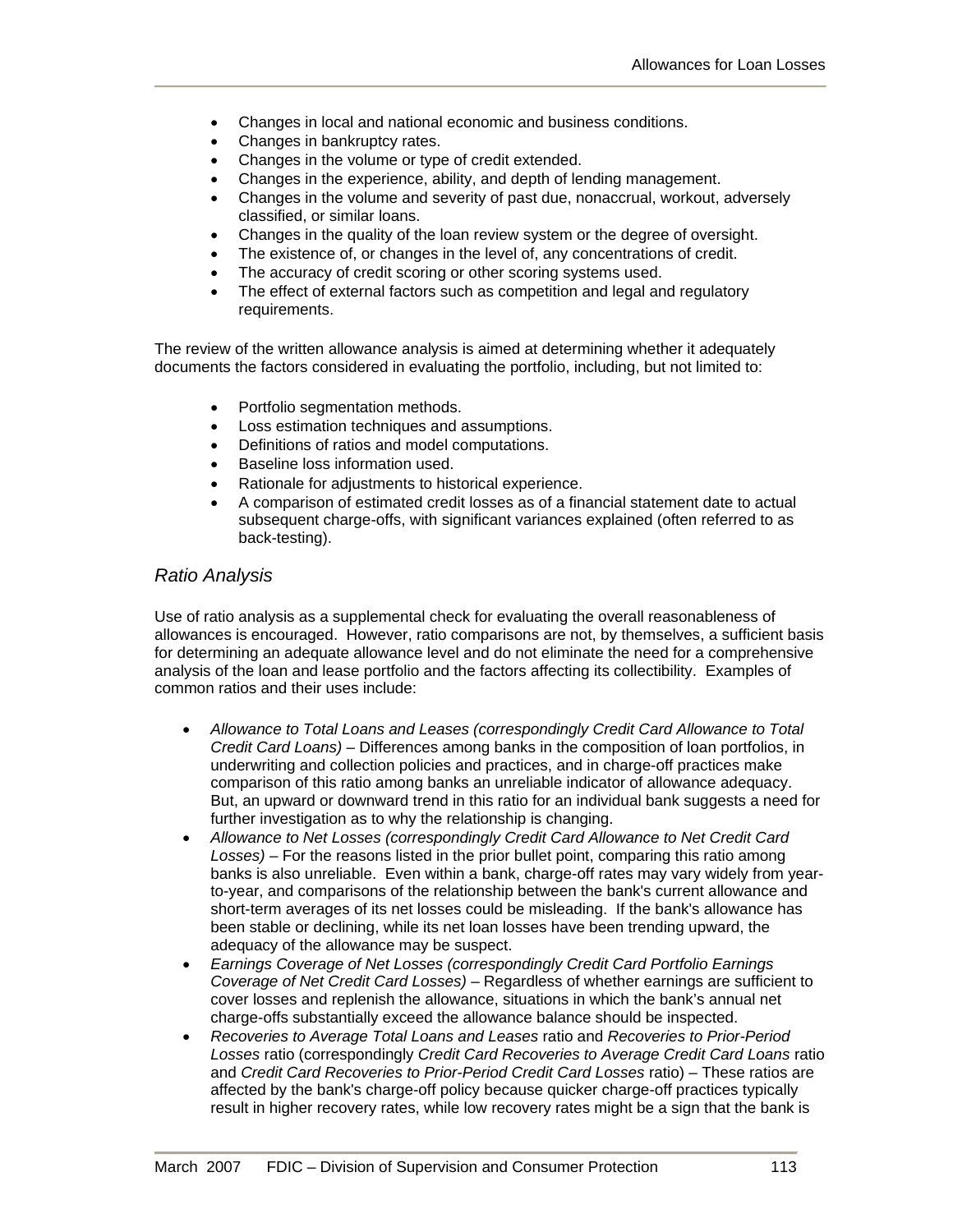- Changes in local and national economic and business conditions.
- Changes in bankruptcy rates.
- Changes in the volume or type of credit extended.
- Changes in the experience, ability, and depth of lending management.
- Changes in the volume and severity of past due, nonaccrual, workout, adversely classified, or similar loans.
- Changes in the quality of the loan review system or the degree of oversight.
- The existence of, or changes in the level of, any concentrations of credit.
- The accuracy of credit scoring or other scoring systems used.
- The effect of external factors such as competition and legal and regulatory requirements.

The review of the written allowance analysis is aimed at determining whether it adequately documents the factors considered in evaluating the portfolio, including, but not limited to:

- Portfolio segmentation methods.
- Loss estimation techniques and assumptions.
- Definitions of ratios and model computations.
- Baseline loss information used.
- Rationale for adjustments to historical experience.
- A comparison of estimated credit losses as of a financial statement date to actual subsequent charge-offs, with significant variances explained (often referred to as back-testing).

#### *Ratio Analysis*

Use of ratio analysis as a supplemental check for evaluating the overall reasonableness of allowances is encouraged. However, ratio comparisons are not, by themselves, a sufficient basis for determining an adequate allowance level and do not eliminate the need for a comprehensive analysis of the loan and lease portfolio and the factors affecting its collectibility. Examples of common ratios and their uses include:

- *Allowance to Total Loans and Leases (correspondingly Credit Card Allowance to Total Credit Card Loans)* – Differences among banks in the composition of loan portfolios, in underwriting and collection policies and practices, and in charge-off practices make comparison of this ratio among banks an unreliable indicator of allowance adequacy. But, an upward or downward trend in this ratio for an individual bank suggests a need for further investigation as to why the relationship is changing.
- *Allowance to Net Losses (correspondingly Credit Card Allowance to Net Credit Card Losses)* – For the reasons listed in the prior bullet point, comparing this ratio among banks is also unreliable. Even within a bank, charge-off rates may vary widely from yearto-year, and comparisons of the relationship between the bank's current allowance and short-term averages of its net losses could be misleading. If the bank's allowance has been stable or declining, while its net loan losses have been trending upward, the adequacy of the allowance may be suspect.
- *Earnings Coverage of Net Losses (correspondingly Credit Card Portfolio Earnings Coverage of Net Credit Card Losses)* – Regardless of whether earnings are sufficient to cover losses and replenish the allowance, situations in which the bank's annual net charge-offs substantially exceed the allowance balance should be inspected.
- *Recoveries to Average Total Loans and Leases* ratio and *Recoveries to Prior-Period Losses* ratio (correspondingly *Credit Card Recoveries to Average Credit Card Loans* ratio and *Credit Card Recoveries to Prior-Period Credit Card Losses* ratio) – These ratios are affected by the bank's charge-off policy because quicker charge-off practices typically result in higher recovery rates, while low recovery rates might be a sign that the bank is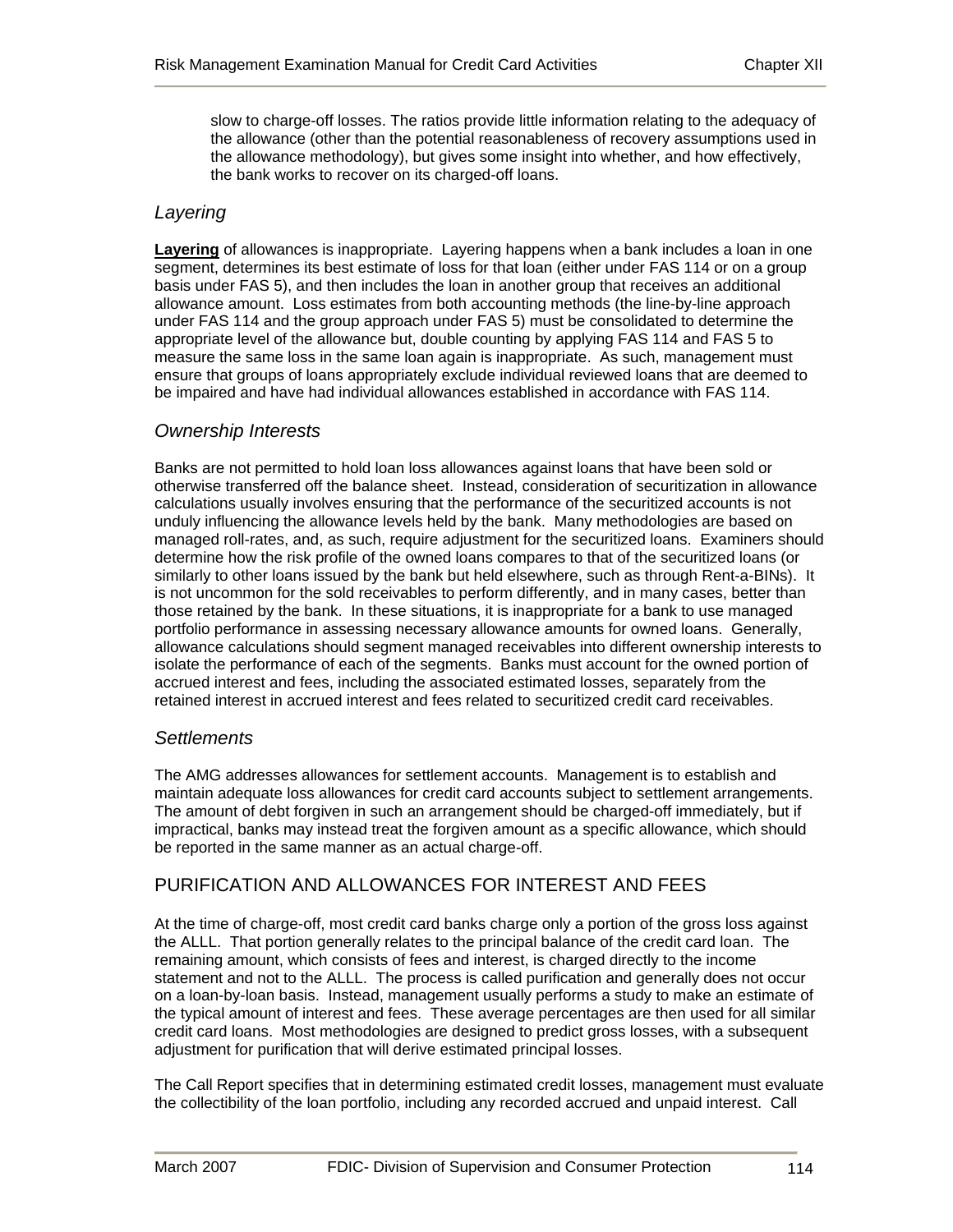slow to charge-off losses. The ratios provide little information relating to the adequacy of the allowance (other than the potential reasonableness of recovery assumptions used in the allowance methodology), but gives some insight into whether, and how effectively, the bank works to recover on its charged-off loans.

#### *Layering*

**Layering** of allowances is inappropriate. Layering happens when a bank includes a loan in one segment, determines its best estimate of loss for that loan (either under FAS 114 or on a group basis under FAS 5), and then includes the loan in another group that receives an additional allowance amount. Loss estimates from both accounting methods (the line-by-line approach under FAS 114 and the group approach under FAS 5) must be consolidated to determine the appropriate level of the allowance but, double counting by applying FAS 114 and FAS 5 to measure the same loss in the same loan again is inappropriate. As such, management must ensure that groups of loans appropriately exclude individual reviewed loans that are deemed to be impaired and have had individual allowances established in accordance with FAS 114.

#### *Ownership Interests*

Banks are not permitted to hold loan loss allowances against loans that have been sold or otherwise transferred off the balance sheet. Instead, consideration of securitization in allowance calculations usually involves ensuring that the performance of the securitized accounts is not unduly influencing the allowance levels held by the bank. Many methodologies are based on managed roll-rates, and, as such, require adjustment for the securitized loans. Examiners should determine how the risk profile of the owned loans compares to that of the securitized loans (or similarly to other loans issued by the bank but held elsewhere, such as through Rent-a-BINs). It is not uncommon for the sold receivables to perform differently, and in many cases, better than those retained by the bank. In these situations, it is inappropriate for a bank to use managed portfolio performance in assessing necessary allowance amounts for owned loans. Generally, allowance calculations should segment managed receivables into different ownership interests to isolate the performance of each of the segments. Banks must account for the owned portion of accrued interest and fees, including the associated estimated losses, separately from the retained interest in accrued interest and fees related to securitized credit card receivables.

#### *Settlements*

The AMG addresses allowances for settlement accounts. Management is to establish and maintain adequate loss allowances for credit card accounts subject to settlement arrangements. The amount of debt forgiven in such an arrangement should be charged-off immediately, but if impractical, banks may instead treat the forgiven amount as a specific allowance, which should be reported in the same manner as an actual charge-off.

# PURIFICATION AND ALLOWANCES FOR INTEREST AND FEES

At the time of charge-off, most credit card banks charge only a portion of the gross loss against the ALLL. That portion generally relates to the principal balance of the credit card loan. The remaining amount, which consists of fees and interest, is charged directly to the income statement and not to the ALLL. The process is called purification and generally does not occur on a loan-by-loan basis. Instead, management usually performs a study to make an estimate of the typical amount of interest and fees. These average percentages are then used for all similar credit card loans. Most methodologies are designed to predict gross losses, with a subsequent adjustment for purification that will derive estimated principal losses.

The Call Report specifies that in determining estimated credit losses, management must evaluate the collectibility of the loan portfolio, including any recorded accrued and unpaid interest. Call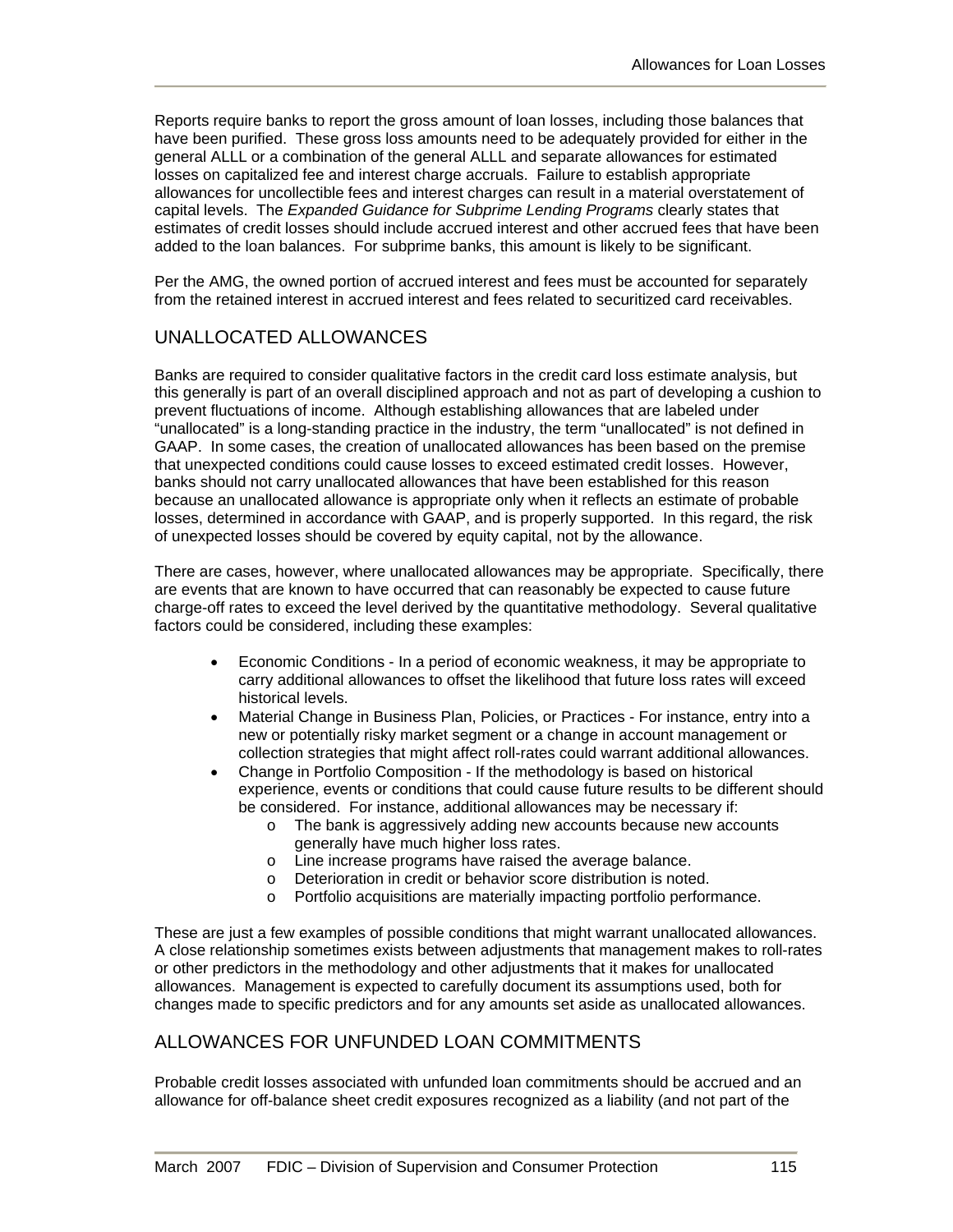Reports require banks to report the gross amount of loan losses, including those balances that have been purified. These gross loss amounts need to be adequately provided for either in the general ALLL or a combination of the general ALLL and separate allowances for estimated losses on capitalized fee and interest charge accruals. Failure to establish appropriate allowances for uncollectible fees and interest charges can result in a material overstatement of capital levels. The *Expanded Guidance for Subprime Lending Programs* clearly states that estimates of credit losses should include accrued interest and other accrued fees that have been added to the loan balances. For subprime banks, this amount is likely to be significant.

Per the AMG, the owned portion of accrued interest and fees must be accounted for separately from the retained interest in accrued interest and fees related to securitized card receivables.

# UNALLOCATED ALLOWANCES

Banks are required to consider qualitative factors in the credit card loss estimate analysis, but this generally is part of an overall disciplined approach and not as part of developing a cushion to prevent fluctuations of income. Although establishing allowances that are labeled under "unallocated" is a long-standing practice in the industry, the term "unallocated" is not defined in GAAP. In some cases, the creation of unallocated allowances has been based on the premise that unexpected conditions could cause losses to exceed estimated credit losses. However, banks should not carry unallocated allowances that have been established for this reason because an unallocated allowance is appropriate only when it reflects an estimate of probable losses, determined in accordance with GAAP, and is properly supported. In this regard, the risk of unexpected losses should be covered by equity capital, not by the allowance.

There are cases, however, where unallocated allowances may be appropriate. Specifically, there are events that are known to have occurred that can reasonably be expected to cause future charge-off rates to exceed the level derived by the quantitative methodology. Several qualitative factors could be considered, including these examples:

- Economic Conditions In a period of economic weakness, it may be appropriate to carry additional allowances to offset the likelihood that future loss rates will exceed historical levels.
- Material Change in Business Plan, Policies, or Practices For instance, entry into a new or potentially risky market segment or a change in account management or collection strategies that might affect roll-rates could warrant additional allowances.
- Change in Portfolio Composition If the methodology is based on historical experience, events or conditions that could cause future results to be different should be considered. For instance, additional allowances may be necessary if:
	- o The bank is aggressively adding new accounts because new accounts generally have much higher loss rates.
	- o Line increase programs have raised the average balance.
	- o Deterioration in credit or behavior score distribution is noted.
	- o Portfolio acquisitions are materially impacting portfolio performance.

These are just a few examples of possible conditions that might warrant unallocated allowances. A close relationship sometimes exists between adjustments that management makes to roll-rates or other predictors in the methodology and other adjustments that it makes for unallocated allowances. Management is expected to carefully document its assumptions used, both for changes made to specific predictors and for any amounts set aside as unallocated allowances.

# ALLOWANCES FOR UNFUNDED LOAN COMMITMENTS

Probable credit losses associated with unfunded loan commitments should be accrued and an allowance for off-balance sheet credit exposures recognized as a liability (and not part of the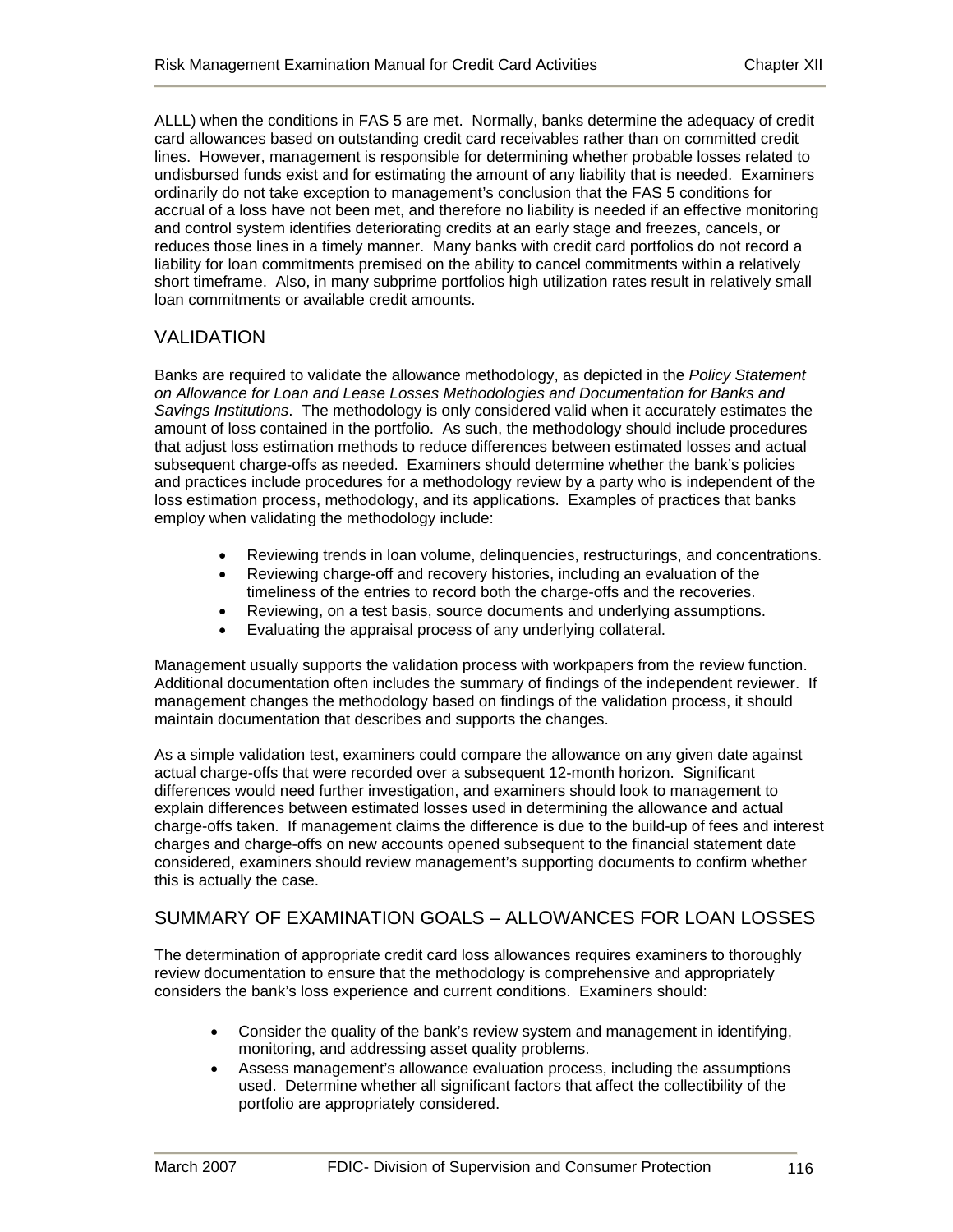ALLL) when the conditions in FAS 5 are met. Normally, banks determine the adequacy of credit card allowances based on outstanding credit card receivables rather than on committed credit lines. However, management is responsible for determining whether probable losses related to undisbursed funds exist and for estimating the amount of any liability that is needed. Examiners ordinarily do not take exception to management's conclusion that the FAS 5 conditions for accrual of a loss have not been met, and therefore no liability is needed if an effective monitoring and control system identifies deteriorating credits at an early stage and freezes, cancels, or reduces those lines in a timely manner. Many banks with credit card portfolios do not record a liability for loan commitments premised on the ability to cancel commitments within a relatively short timeframe. Also, in many subprime portfolios high utilization rates result in relatively small loan commitments or available credit amounts.

# VALIDATION

Banks are required to validate the allowance methodology, as depicted in the *Policy Statement on Allowance for Loan and Lease Losses Methodologies and Documentation for Banks and Savings Institutions*. The methodology is only considered valid when it accurately estimates the amount of loss contained in the portfolio. As such, the methodology should include procedures that adjust loss estimation methods to reduce differences between estimated losses and actual subsequent charge-offs as needed. Examiners should determine whether the bank's policies and practices include procedures for a methodology review by a party who is independent of the loss estimation process, methodology, and its applications. Examples of practices that banks employ when validating the methodology include:

- Reviewing trends in loan volume, delinquencies, restructurings, and concentrations.
- Reviewing charge-off and recovery histories, including an evaluation of the timeliness of the entries to record both the charge-offs and the recoveries.
- Reviewing, on a test basis, source documents and underlying assumptions.
- Evaluating the appraisal process of any underlying collateral.

Management usually supports the validation process with workpapers from the review function. Additional documentation often includes the summary of findings of the independent reviewer. If management changes the methodology based on findings of the validation process, it should maintain documentation that describes and supports the changes.

As a simple validation test, examiners could compare the allowance on any given date against actual charge-offs that were recorded over a subsequent 12-month horizon. Significant differences would need further investigation, and examiners should look to management to explain differences between estimated losses used in determining the allowance and actual charge-offs taken. If management claims the difference is due to the build-up of fees and interest charges and charge-offs on new accounts opened subsequent to the financial statement date considered, examiners should review management's supporting documents to confirm whether this is actually the case.

# SUMMARY OF EXAMINATION GOALS – ALLOWANCES FOR LOAN LOSSES

The determination of appropriate credit card loss allowances requires examiners to thoroughly review documentation to ensure that the methodology is comprehensive and appropriately considers the bank's loss experience and current conditions. Examiners should:

- Consider the quality of the bank's review system and management in identifying, monitoring, and addressing asset quality problems.
- Assess management's allowance evaluation process, including the assumptions used. Determine whether all significant factors that affect the collectibility of the portfolio are appropriately considered.